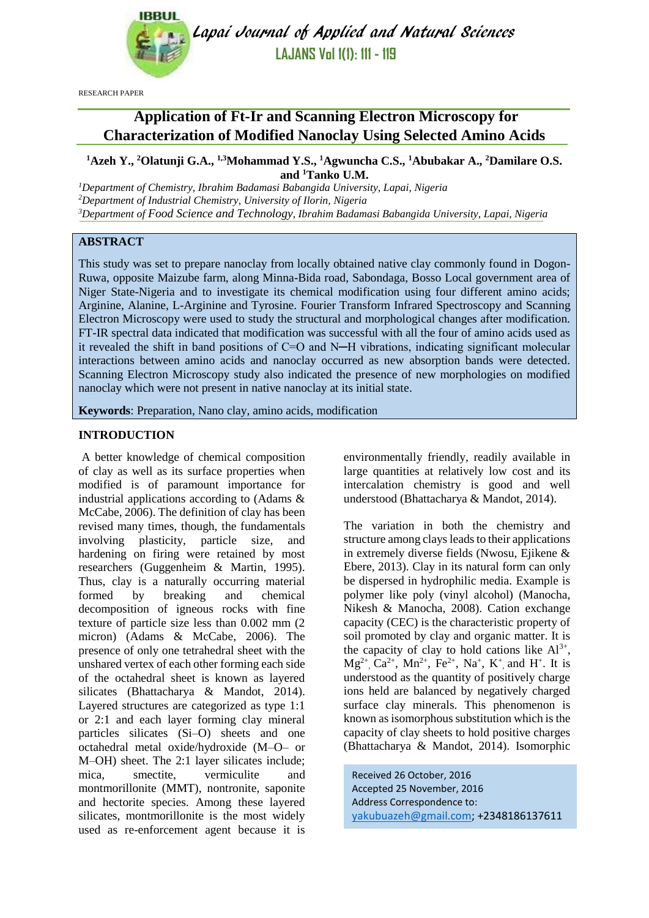

Lapai Journal of Applied and Natural Sciences **LAJANS Vol 1(1): 111 - 119**

RESEARCH PAPER

# **Application of Ft-Ir and Scanning Electron Microscopy for Characterization of Modified Nanoclay Using Selected Amino Acids**

**<sup>1</sup>Azeh Y., <sup>2</sup>Olatunji G.A., 1,3Mohammad Y.S., <sup>1</sup>Agwuncha C.S., <sup>1</sup>Abubakar A., <sup>2</sup>Damilare O.S. and <sup>1</sup>Tanko U.M.** 

*<sup>1</sup>Department of Chemistry, Ibrahim Badamasi Babangida University, Lapai, Nigeria <sup>2</sup>Department of Industrial Chemistry, University of Ilorin, Nigeria <sup>3</sup>Department of Food Science and Technology, Ibrahim Badamasi Babangida University, Lapai, Nigeria*

# **ABSTRACT**

This study was set to prepare nanoclay from locally obtained native clay commonly found in Dogon-Ruwa, opposite Maizube farm, along Minna-Bida road, Sabondaga, Bosso Local government area of Niger State-Nigeria and to investigate its chemical modification using four different amino acids; Arginine, Alanine, L-Arginine and Tyrosine. Fourier Transform Infrared Spectroscopy and Scanning Electron Microscopy were used to study the structural and morphological changes after modification. FT-IR spectral data indicated that modification was successful with all the four of amino acids used as it revealed the shift in band positions of C=O and N─H vibrations, indicating significant molecular interactions between amino acids and nanoclay occurred as new absorption bands were detected. Scanning Electron Microscopy study also indicated the presence of new morphologies on modified nanoclay which were not present in native nanoclay at its initial state.

**Keywords**: Preparation, Nano clay, amino acids, modification

# **INTRODUCTION**

A better knowledge of chemical composition of clay as well as its surface properties when modified is of paramount importance for industrial applications according to (Adams & McCabe, 2006). The definition of clay has been revised many times, though, the fundamentals involving plasticity, particle size, and hardening on firing were retained by most researchers (Guggenheim & Martin, 1995). Thus, clay is a naturally occurring material formed by breaking and chemical decomposition of igneous rocks with fine texture of particle size less than 0.002 mm (2 micron) (Adams & McCabe, 2006). The presence of only one tetrahedral sheet with the unshared vertex of each other forming each side of the octahedral sheet is known as layered silicates (Bhattacharya & Mandot, 2014). Layered structures are categorized as type 1:1 or 2:1 and each layer forming clay mineral particles silicates (Si–O) sheets and one octahedral metal oxide/hydroxide (M–O– or M–OH) sheet. The 2:1 layer silicates include; mica, smectite, vermiculite and montmorillonite (MMT), nontronite, saponite and hectorite species. Among these layered silicates, montmorillonite is the most widely used as re-enforcement agent because it is environmentally friendly, readily available in large quantities at relatively low cost and its intercalation chemistry is good and well understood (Bhattacharya & Mandot, 2014).

The variation in both the chemistry and structure among clays leads to their applications in extremely diverse fields (Nwosu, Ejikene & Ebere, 2013). Clay in its natural form can only be dispersed in hydrophilic media. Example is polymer like poly (vinyl alcohol) (Manocha, Nikesh & Manocha, 2008). Cation exchange capacity (CEC) is the characteristic property of soil promoted by clay and organic matter. It is the capacity of clay to hold cations like  $Al^{3+}$ ,  $Mg^{2+}$ ,  $Ca^{2+}$ ,  $Mn^{2+}$ ,  $Fe^{2+}$ ,  $Na^{+}$ ,  $K^{+}$ , and  $H^{+}$ . It is understood as the quantity of positively charge ions held are balanced by negatively charged surface clay minerals. This phenomenon is known as isomorphous substitution which is the capacity of clay sheets to hold positive charges (Bhattacharya & Mandot, 2014). Isomorphic

Received 26 October, 2016 Accepted 25 November, 2016 Address Correspondence to: [yakubuazeh@gmail.com;](mailto:yakubuazeh@gmail.com) +2348186137611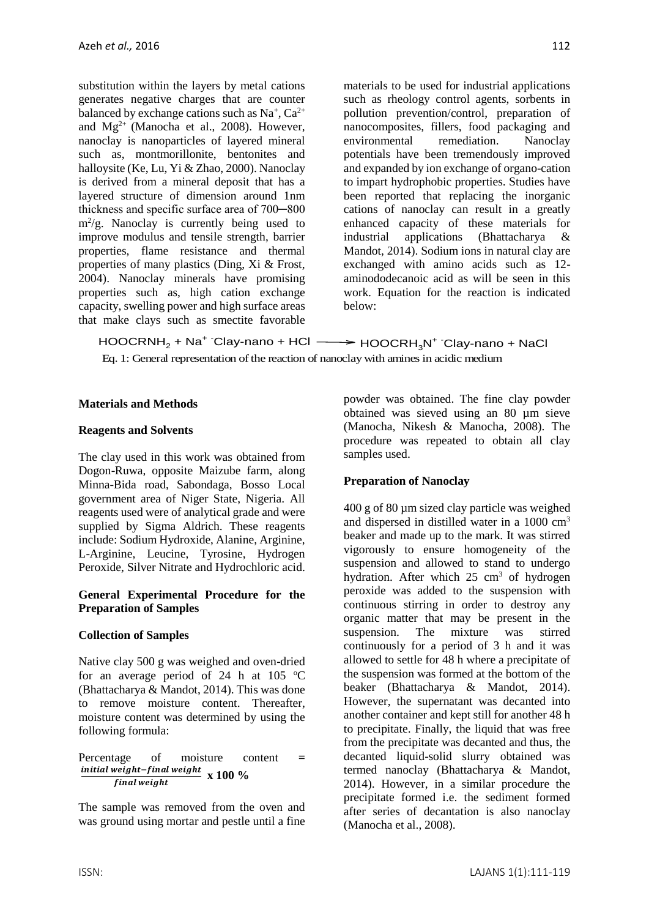substitution within the layers by metal cations generates negative charges that are counter balanced by exchange cations such as  $Na^+$ ,  $Ca^{2+}$ and  $Mg^{2+}$  (Manocha et al., 2008). However, nanoclay is nanoparticles of layered mineral such as, montmorillonite, bentonites and halloysite (Ke, Lu, Yi & Zhao, 2000). Nanoclay is derived from a mineral deposit that has a layered structure of dimension around 1nm thickness and specific surface area of 700─800 m<sup>2</sup> /g. Nanoclay is currently being used to improve modulus and tensile strength, barrier properties, flame resistance and thermal properties of many plastics (Ding, Xi & Frost, 2004). Nanoclay minerals have promising properties such as, high cation exchange capacity, swelling power and high surface areas that make clays such as smectite favorable

materials to be used for industrial applications such as rheology control agents, sorbents in pollution prevention/control, preparation of nanocomposites, fillers, food packaging and environmental remediation. Nanoclay potentials have been tremendously improved and expanded by ion exchange of organo-cation to impart hydrophobic properties. Studies have been reported that replacing the inorganic cations of nanoclay can result in a greatly enhanced capacity of these materials for industrial applications (Bhattacharya & Mandot, 2014). Sodium ions in natural clay are exchanged with amino acids such as 12 aminododecanoic acid as will be seen in this work. Equation for the reaction is indicated below:

HOOCRNH<sub>2</sub> + Na<sup>+ -</sup>Clay-nano + HCl —— → HOOCRH<sub>3</sub>N<sup>+ -</sup>Clay-nano + NaCl Eq. 1: General representation of the reaction of nanoclay with amines in acidic medium

### **Materials and Methods**

#### **Reagents and Solvents**

The clay used in this work was obtained from Dogon-Ruwa, opposite Maizube farm, along Minna-Bida road, Sabondaga, Bosso Local government area of Niger State, Nigeria. All reagents used were of analytical grade and were supplied by Sigma Aldrich. These reagents include: Sodium Hydroxide, Alanine, Arginine, L-Arginine, Leucine, Tyrosine, Hydrogen Peroxide, Silver Nitrate and Hydrochloric acid.

#### **General Experimental Procedure for the Preparation of Samples**

#### **Collection of Samples**

Native clay 500 g was weighed and oven-dried for an average period of 24 h at 105  $\degree$ C (Bhattacharya & Mandot, 2014). This was done to remove moisture content. Thereafter, moisture content was determined by using the following formula:

Percentage of moisture content **=**  <u>initial weight−final weight</u><br>final weight x 100 %

The sample was removed from the oven and was ground using mortar and pestle until a fine powder was obtained. The fine clay powder obtained was sieved using an 80 µm sieve (Manocha, Nikesh & Manocha, 2008). The procedure was repeated to obtain all clay samples used.

#### **Preparation of Nanoclay**

400 g of 80 µm sized clay particle was weighed and dispersed in distilled water in a 1000 cm<sup>3</sup> beaker and made up to the mark. It was stirred vigorously to ensure homogeneity of the suspension and allowed to stand to undergo hydration. After which 25 cm<sup>3</sup> of hydrogen peroxide was added to the suspension with continuous stirring in order to destroy any organic matter that may be present in the suspension. The mixture was stirred continuously for a period of 3 h and it was allowed to settle for 48 h where a precipitate of the suspension was formed at the bottom of the beaker (Bhattacharya & Mandot, 2014). However, the supernatant was decanted into another container and kept still for another 48 h to precipitate. Finally, the liquid that was free from the precipitate was decanted and thus, the decanted liquid-solid slurry obtained was termed nanoclay (Bhattacharya & Mandot, 2014). However, in a similar procedure the precipitate formed i.e. the sediment formed after series of decantation is also nanoclay (Manocha et al., 2008).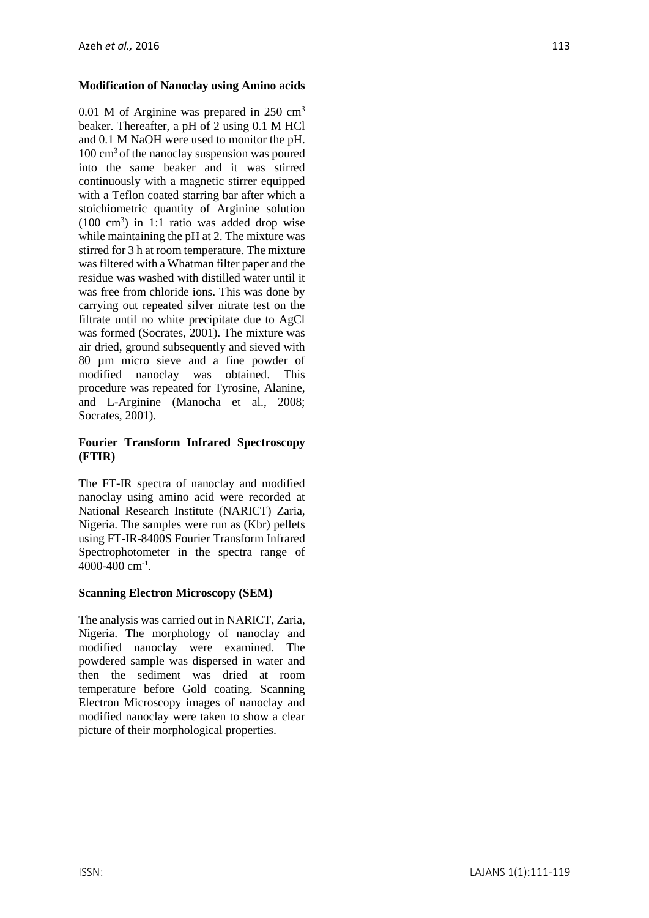# **Modification of Nanoclay using Amino acids**

0.01 M of Arginine was prepared in 250 cm<sup>3</sup> beaker. Thereafter, a pH of 2 using 0.1 M HCl and 0.1 M NaOH were used to monitor the pH.  $100 \text{ cm}^3$  of the nanoclay suspension was poured into the same beaker and it was stirred continuously with a magnetic stirrer equipped with a Teflon coated starring bar after which a stoichiometric quantity of Arginine solution  $(100 \text{ cm}^3)$  in 1:1 ratio was added drop wise while maintaining the pH at 2. The mixture was stirred for 3 h at room temperature. The mixture was filtered with a Whatman filter paper and the residue was washed with distilled water until it was free from chloride ions. This was done by carrying out repeated silver nitrate test on the filtrate until no white precipitate due to AgCl was formed (Socrates, 2001). The mixture was air dried, ground subsequently and sieved with 80 µm micro sieve and a fine powder of modified nanoclay was obtained. This procedure was repeated for Tyrosine, Alanine, and L-Arginine (Manocha et al., 2008; Socrates, 2001).

# **Fourier Transform Infrared Spectroscopy (FTIR)**

The FT-IR spectra of nanoclay and modified nanoclay using amino acid were recorded at National Research Institute (NARICT) Zaria, Nigeria. The samples were run as (Kbr) pellets using FT-IR-8400S Fourier Transform Infrared Spectrophotometer in the spectra range of 4000-400 cm-1 .

# **Scanning Electron Microscopy (SEM)**

The analysis was carried out in NARICT, Zaria, Nigeria. The morphology of nanoclay and modified nanoclay were examined. The powdered sample was dispersed in water and then the sediment was dried at room temperature before Gold coating. Scanning Electron Microscopy images of nanoclay and modified nanoclay were taken to show a clear picture of their morphological properties.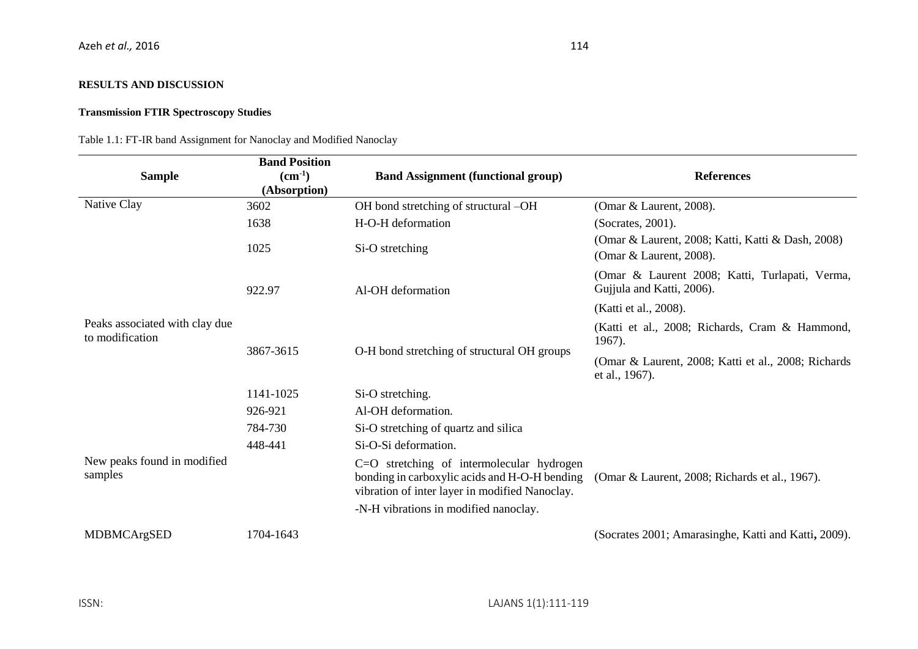### **RESULTS AND DISCUSSION**

### **Transmission FTIR Spectroscopy Studies**

Table 1.1: FT-IR band Assignment for Nanoclay and Modified Nanoclay

| <b>Sample</b>                                                                               | <b>Band Position</b><br>$(cm-1)$<br>(Absorption) | <b>Band Assignment (functional group)</b>                                                                                                    | <b>References</b>                                                            |
|---------------------------------------------------------------------------------------------|--------------------------------------------------|----------------------------------------------------------------------------------------------------------------------------------------------|------------------------------------------------------------------------------|
| Native Clay                                                                                 | 3602                                             | OH bond stretching of structural -OH                                                                                                         | (Omar & Laurent, 2008).                                                      |
| Peaks associated with clay due<br>to modification<br>New peaks found in modified<br>samples | 1638                                             | H-O-H deformation                                                                                                                            | (Socrates, 2001).                                                            |
|                                                                                             | 1025                                             | Si-O stretching                                                                                                                              | (Omar & Laurent, 2008; Katti, Katti & Dash, 2008)<br>(Omar & Laurent, 2008). |
|                                                                                             | 922.97                                           | Al-OH deformation                                                                                                                            | (Omar & Laurent 2008; Katti, Turlapati, Verma,<br>Gujjula and Katti, 2006).  |
|                                                                                             |                                                  |                                                                                                                                              | (Katti et al., 2008).                                                        |
|                                                                                             | 3867-3615                                        | O-H bond stretching of structural OH groups                                                                                                  | (Katti et al., 2008; Richards, Cram & Hammond,<br>1967).                     |
|                                                                                             |                                                  |                                                                                                                                              | (Omar & Laurent, 2008; Katti et al., 2008; Richards<br>et al., 1967).        |
|                                                                                             | 1141-1025                                        | Si-O stretching.                                                                                                                             |                                                                              |
|                                                                                             | 926-921                                          | Al-OH deformation.                                                                                                                           |                                                                              |
|                                                                                             | 784-730                                          | Si-O stretching of quartz and silica                                                                                                         |                                                                              |
|                                                                                             | 448-441                                          | Si-O-Si deformation.                                                                                                                         |                                                                              |
|                                                                                             |                                                  | C=O stretching of intermolecular hydrogen<br>bonding in carboxylic acids and H-O-H bending<br>vibration of inter layer in modified Nanoclay. | (Omar & Laurent, 2008; Richards et al., 1967).                               |
|                                                                                             |                                                  | -N-H vibrations in modified nanoclay.                                                                                                        |                                                                              |
| MDBMCArgSED                                                                                 | 1704-1643                                        |                                                                                                                                              | (Socrates 2001; Amarasinghe, Katti and Katti, 2009).                         |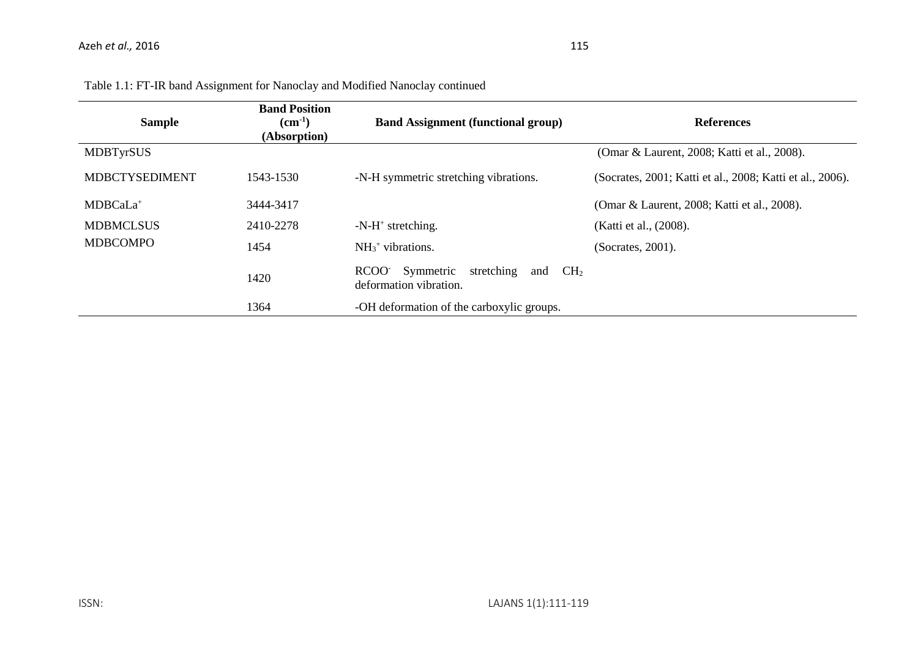| <b>Sample</b>         | <b>Band Position</b><br>$(cm^{-1})$<br>(Absorption) | <b>Band Assignment (functional group)</b>                                            | <b>References</b>                                         |
|-----------------------|-----------------------------------------------------|--------------------------------------------------------------------------------------|-----------------------------------------------------------|
| <b>MDBTyrSUS</b>      |                                                     |                                                                                      | (Omar & Laurent, 2008; Katti et al., 2008).               |
| <b>MDBCTYSEDIMENT</b> | 1543-1530                                           | -N-H symmetric stretching vibrations.                                                | (Socrates, 2001; Katti et al., 2008; Katti et al., 2006). |
| MDBCaLa <sup>+</sup>  | 3444-3417                                           |                                                                                      | (Omar & Laurent, 2008; Katti et al., 2008).               |
| <b>MDBMCLSUS</b>      | 2410-2278                                           | $-N-H^+$ stretching.                                                                 | (Katti et al., (2008).                                    |
| <b>MDBCOMPO</b>       | 1454                                                | $NH3+ vibrations.$                                                                   | (Socrates, 2001).                                         |
|                       | 1420                                                | Symmetric<br>stretching<br>RCOO-<br>CH <sub>2</sub><br>and<br>deformation vibration. |                                                           |
|                       | 1364                                                | -OH deformation of the carboxylic groups.                                            |                                                           |

Table 1.1: FT-IR band Assignment for Nanoclay and Modified Nanoclay continued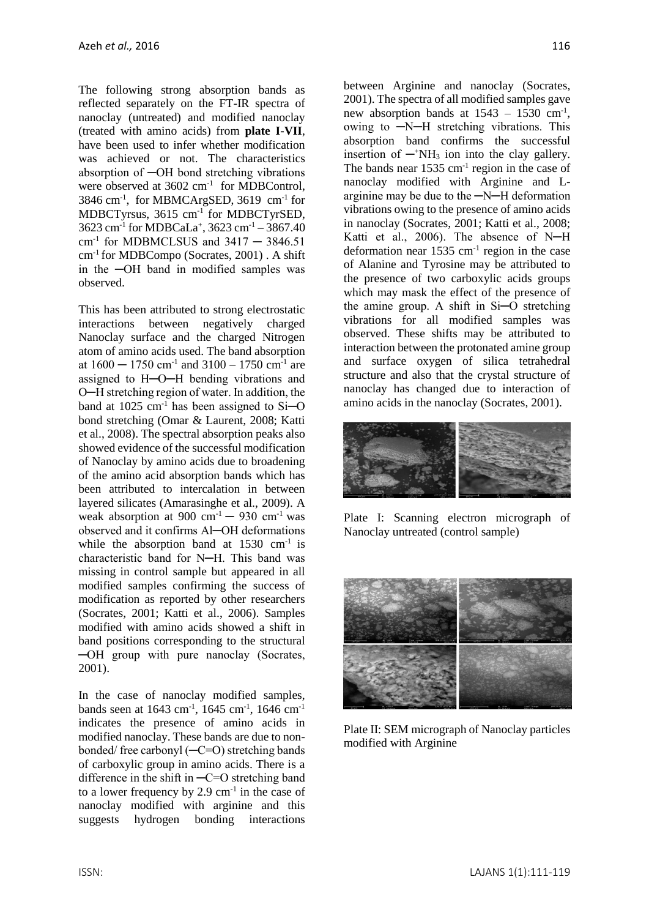The following strong absorption bands as reflected separately on the FT-IR spectra of nanoclay (untreated) and modified nanoclay (treated with amino acids) from **plate I-VII**, have been used to infer whether modification was achieved or not. The characteristics absorption of ─OH bond stretching vibrations were observed at 3602 cm<sup>-1</sup> for MDBControl, 3846 cm-1 , for MBMCArgSED, 3619 cm-1 for MDBCTyrsus, 3615 cm<sup>-1</sup> for MDBCTyrSED, 3623 cm-1 for MDBCaLa<sup>+</sup> , 3623 cm-1 – 3867.40 cm-1 for MDBMCLSUS and 3417 ─ 3846.51 cm-1 for MDBCompo (Socrates, 2001) . A shift in the ─OH band in modified samples was observed.

This has been attributed to strong electrostatic interactions between negatively charged Nanoclay surface and the charged Nitrogen atom of amino acids used. The band absorption at  $1600 - 1750$  cm<sup>-1</sup> and  $3100 - 1750$  cm<sup>-1</sup> are assigned to H─O─H bending vibrations and O─H stretching region of water. In addition, the band at  $1025 \text{ cm}^{-1}$  has been assigned to Si-O bond stretching (Omar & Laurent, 2008; Katti et al., 2008). The spectral absorption peaks also showed evidence of the successful modification of Nanoclay by amino acids due to broadening of the amino acid absorption bands which has been attributed to intercalation in between layered silicates (Amarasinghe et al., 2009). A weak absorption at 900 cm<sup>-1</sup>  $-$  930 cm<sup>-1</sup> was observed and it confirms Al─OH deformations while the absorption band at  $1530 \text{ cm}^{-1}$  is characteristic band for N─H. This band was missing in control sample but appeared in all modified samples confirming the success of modification as reported by other researchers (Socrates, 2001; Katti et al., 2006). Samples modified with amino acids showed a shift in band positions corresponding to the structural ─OH group with pure nanoclay (Socrates, 2001).

In the case of nanoclay modified samples, bands seen at  $1643 \text{ cm}^{-1}$ ,  $1645 \text{ cm}^{-1}$ ,  $1646 \text{ cm}^{-1}$ indicates the presence of amino acids in modified nanoclay. These bands are due to nonbonded/ free carbonyl (─C=O) stretching bands of carboxylic group in amino acids. There is a difference in the shift in  $-C=O$  stretching band to a lower frequency by  $2.9 \text{ cm}^{-1}$  in the case of nanoclay modified with arginine and this suggests hydrogen bonding interactions

between Arginine and nanoclay (Socrates, 2001). The spectra of all modified samples gave new absorption bands at  $1543 - 1530$  cm<sup>-1</sup>, owing to ─N─H stretching vibrations. This absorption band confirms the successful insertion of  $-\beta$ NH<sub>3</sub> ion into the clay gallery. The bands near  $1535 \text{ cm}^{-1}$  region in the case of nanoclay modified with Arginine and Larginine may be due to the ─N─H deformation vibrations owing to the presence of amino acids in nanoclay (Socrates, 2001; Katti et al., 2008; Katti et al., 2006). The absence of N-H deformation near  $1535 \text{ cm}^{-1}$  region in the case of Alanine and Tyrosine may be attributed to the presence of two carboxylic acids groups which may mask the effect of the presence of the amine group. A shift in Si─O stretching vibrations for all modified samples was observed. These shifts may be attributed to interaction between the protonated amine group and surface oxygen of silica tetrahedral structure and also that the crystal structure of nanoclay has changed due to interaction of amino acids in the nanoclay (Socrates, 2001).



Plate I: Scanning electron micrograph of Nanoclay untreated (control sample)



Plate II: SEM micrograph of Nanoclay particles modified with Arginine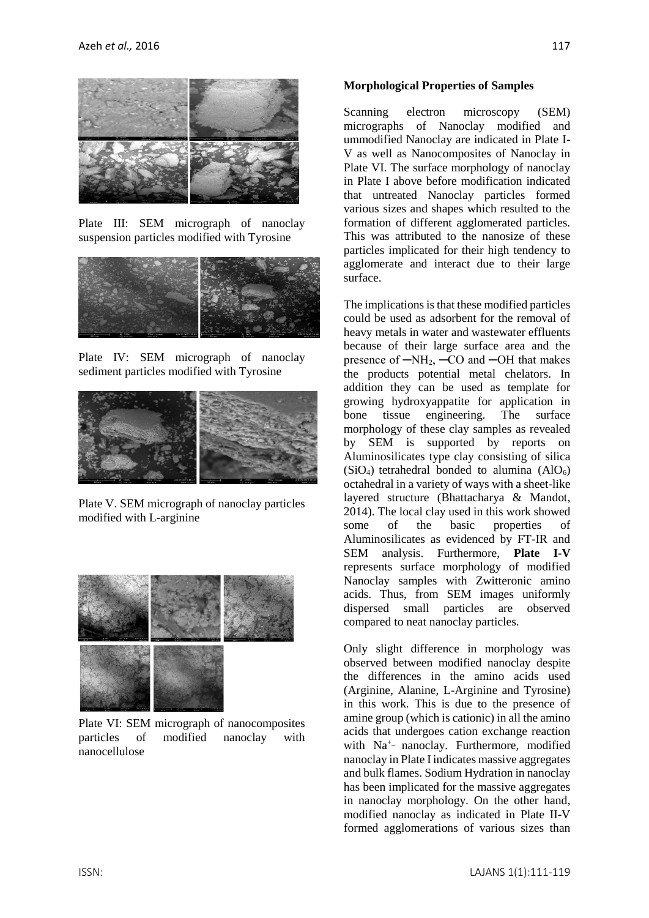

Plate III: SEM micrograph of nanoclay suspension particles modified with Tyrosine



Plate IV: SEM micrograph of nanoclay sediment particles modified with Tyrosine



Plate V. SEM micrograph of nanoclay particles modified with L-arginine



Plate VI: SEM micrograph of nanocomposites particles of modified nanoclay with nanocellulose

#### **Morphological Properties of Samples**

Scanning electron microscopy (SEM) micrographs of Nanoclay modified and ummodified Nanoclay are indicated in Plate I-V as well as Nanocomposites of Nanoclay in Plate VI. The surface morphology of nanoclay in Plate I above before modification indicated that untreated Nanoclay particles formed various sizes and shapes which resulted to the formation of different agglomerated particles. This was attributed to the nanosize of these particles implicated for their high tendency to agglomerate and interact due to their large surface.

The implications is that these modified particles could be used as adsorbent for the removal of heavy metals in water and wastewater effluents because of their large surface area and the presence of  $-NH_2$ ,  $-CO$  and  $-OH$  that makes the products potential metal chelators. In addition they can be used as template for growing hydroxyappatite for application in bone tissue engineering. The surface morphology of these clay samples as revealed by SEM is supported by reports on Aluminosilicates type clay consisting of silica  $(SiO<sub>4</sub>)$  tetrahedral bonded to alumina  $(AIO<sub>6</sub>)$ octahedral in a variety of ways with a sheet-like layered structure (Bhattacharya & Mandot, 2014). The local clay used in this work showed some of the basic properties of Aluminosilicates as evidenced by FT-IR and SEM analysis. Furthermore, **Plate I-V** represents surface morphology of modified Nanoclay samples with Zwitteronic amino acids. Thus, from SEM images uniformly dispersed small particles are observed compared to neat nanoclay particles.

Only slight difference in morphology was observed between modified nanoclay despite the differences in the amino acids used (Arginine, Alanine, L-Arginine and Tyrosine) in this work. This is due to the presence of amine group (which is cationic) in all the amino acids that undergoes cation exchange reaction with Na<sup>+</sup>- nanoclay. Furthermore, modified nanoclay in Plate I indicates massive aggregates and bulk flames. Sodium Hydration in nanoclay has been implicated for the massive aggregates in nanoclay morphology. On the other hand, modified nanoclay as indicated in Plate II-V formed agglomerations of various sizes than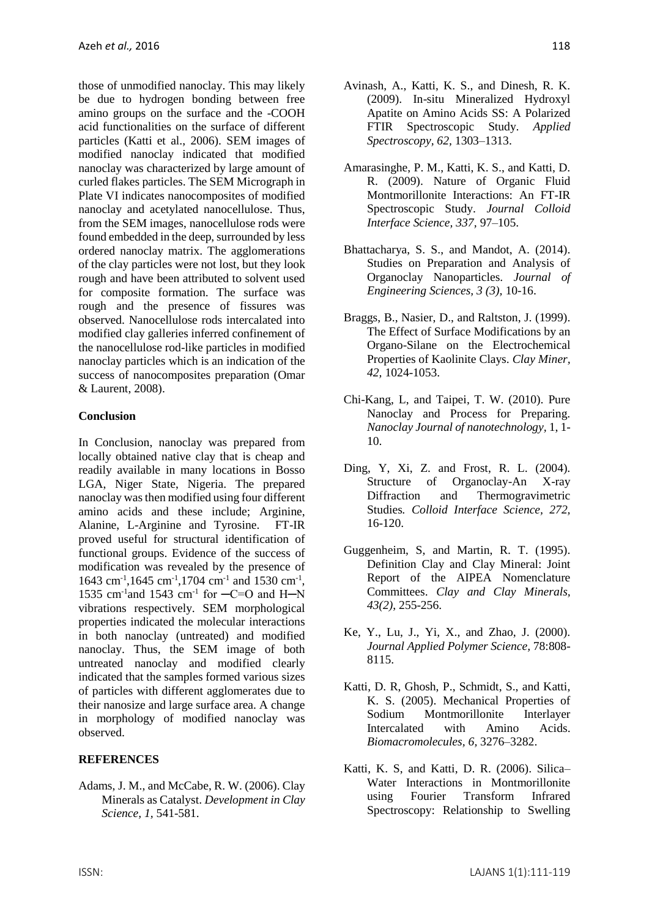those of unmodified nanoclay. This may likely be due to hydrogen bonding between free amino groups on the surface and the -COOH acid functionalities on the surface of different particles (Katti et al., 2006). SEM images of modified nanoclay indicated that modified nanoclay was characterized by large amount of curled flakes particles. The SEM Micrograph in Plate VI indicates nanocomposites of modified nanoclay and acetylated nanocellulose. Thus, from the SEM images, nanocellulose rods were found embedded in the deep, surrounded by less ordered nanoclay matrix. The agglomerations of the clay particles were not lost, but they look rough and have been attributed to solvent used for composite formation. The surface was rough and the presence of fissures was observed. Nanocellulose rods intercalated into modified clay galleries inferred confinement of the nanocellulose rod-like particles in modified nanoclay particles which is an indication of the success of nanocomposites preparation (Omar & Laurent, 2008).

#### **Conclusion**

In Conclusion, nanoclay was prepared from locally obtained native clay that is cheap and readily available in many locations in Bosso LGA, Niger State, Nigeria. The prepared nanoclay was then modified using four different amino acids and these include; Arginine, Alanine, L-Arginine and Tyrosine. FT-IR proved useful for structural identification of functional groups. Evidence of the success of modification was revealed by the presence of 1643 cm<sup>-1</sup>,1645 cm<sup>-1</sup>,1704 cm<sup>-1</sup> and 1530 cm<sup>-1</sup>, 1535 cm<sup>-1</sup> and 1543 cm<sup>-1</sup> for  $-C=O$  and H-N vibrations respectively. SEM morphological properties indicated the molecular interactions in both nanoclay (untreated) and modified nanoclay. Thus, the SEM image of both untreated nanoclay and modified clearly indicated that the samples formed various sizes of particles with different agglomerates due to their nanosize and large surface area. A change in morphology of modified nanoclay was observed.

# **REFERENCES**

Adams, J. M., and McCabe, R. W. (2006). Clay Minerals as Catalyst. *Development in Clay Science, 1,* 541-581.

- Avinash, A., Katti, K. S., and Dinesh, R. K. (2009). In-situ Mineralized Hydroxyl Apatite on Amino Acids SS: A Polarized FTIR Spectroscopic Study. *Applied Spectroscopy, 62,* 1303–1313.
- Amarasinghe, P. M., Katti, K. S., and Katti, D. R. (2009). Nature of Organic Fluid Montmorillonite Interactions: An FT-IR Spectroscopic Study. *Journal Colloid Interface Science, 337,* 97–105.
- Bhattacharya, S. S., and Mandot, A. (2014). Studies on Preparation and Analysis of Organoclay Nanoparticles. *Journal of Engineering Sciences, 3 (3),* 10-16.
- Braggs, B., Nasier, D., and Raltston, J. (1999). The Effect of Surface Modifications by an Organo-Silane on the Electrochemical Properties of Kaolinite Clays. *Clay Miner, 42,* 1024-1053.
- Chi-Kang, L, and Taipei, T. W. (2010). Pure Nanoclay and Process for Preparing. *Nanoclay Journal of nanotechnology,* 1, 1- 10.
- Ding, Y, Xi, Z. and Frost, R. L. (2004). Structure of Organoclay-An X-ray Diffraction and Thermogravimetric Studies*. Colloid Interface Science, 272,* 16-120.
- Guggenheim, S, and Martin, R. T. (1995). Definition Clay and Clay Mineral: Joint Report of the AIPEA Nomenclature Committees. *Clay and Clay Minerals, 43(2)*, 255-256.
- Ke, Y., Lu, J., Yi, X., and Zhao, J. (2000). *Journal Applied Polymer Science,* 78:808- 8115.
- Katti, D. R, Ghosh, P., Schmidt, S., and Katti, K. S. (2005). Mechanical Properties of Sodium Montmorillonite Interlayer Intercalated with Amino Acids. *Biomacromolecules, 6,* 3276–3282.
- Katti, K. S, and Katti, D. R. (2006). Silica– Water Interactions in Montmorillonite using Fourier Transform Infrared Spectroscopy: Relationship to Swelling